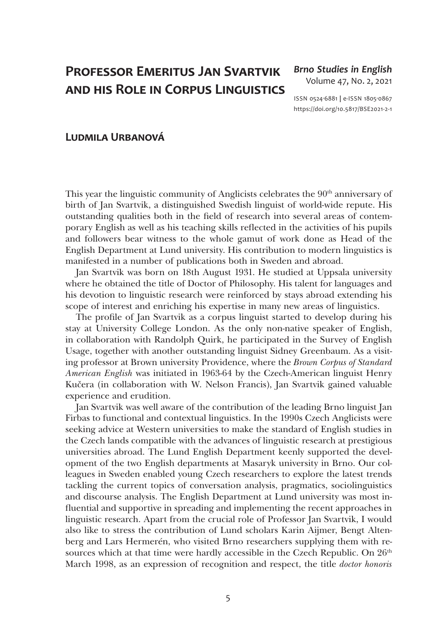## **Professor Emeritus Jan Svartvik and his Role in Corpus Linguistics**

## *Brno Studies in English* Volume 47, No. 2, 2021

ISSN 0524-6881 **|** e-ISSN 1805-0867 <https://doi.org/10.5817/BSE2021-2-1>

## **Ludmila Urbanová**

This year the linguistic community of Anglicists celebrates the 90<sup>th</sup> anniversary of birth of Jan Svartvik, a distinguished Swedish linguist of world-wide repute. His outstanding qualities both in the field of research into several areas of contemporary English as well as his teaching skills reflected in the activities of his pupils and followers bear witness to the whole gamut of work done as Head of the English Department at Lund university. His contribution to modern linguistics is manifested in a number of publications both in Sweden and abroad.

Jan Svartvik was born on 18th August 1931. He studied at Uppsala university where he obtained the title of Doctor of Philosophy. His talent for languages and his devotion to linguistic research were reinforced by stays abroad extending his scope of interest and enriching his expertise in many new areas of linguistics.

The profile of Jan Svartvik as a corpus linguist started to develop during his stay at University College London. As the only non-native speaker of English, in collaboration with Randolph Quirk, he participated in the Survey of English Usage, together with another outstanding linguist Sidney Greenbaum. As a visiting professor at Brown university Providence, where the *Brown Corpus of Standard American English* was initiated in 1963-64 by the Czech-American linguist Henry Kučera (in collaboration with W. Nelson Francis), Jan Svartvik gained valuable experience and erudition.

Jan Svartvik was well aware of the contribution of the leading Brno linguist Jan Firbas to functional and contextual linguistics. In the 1990s Czech Anglicists were seeking advice at Western universities to make the standard of English studies in the Czech lands compatible with the advances of linguistic research at prestigious universities abroad. The Lund English Department keenly supported the development of the two English departments at Masaryk university in Brno. Our colleagues in Sweden enabled young Czech researchers to explore the latest trends tackling the current topics of conversation analysis, pragmatics, sociolinguistics and discourse analysis. The English Department at Lund university was most influential and supportive in spreading and implementing the recent approaches in linguistic research. Apart from the crucial role of Professor Jan Svartvik, I would also like to stress the contribution of Lund scholars Karin Aijmer, Bengt Altenberg and Lars Hermerén, who visited Brno researchers supplying them with resources which at that time were hardly accessible in the Czech Republic. On  $26<sup>th</sup>$ March 1998, as an expression of recognition and respect, the title *doctor honoris*